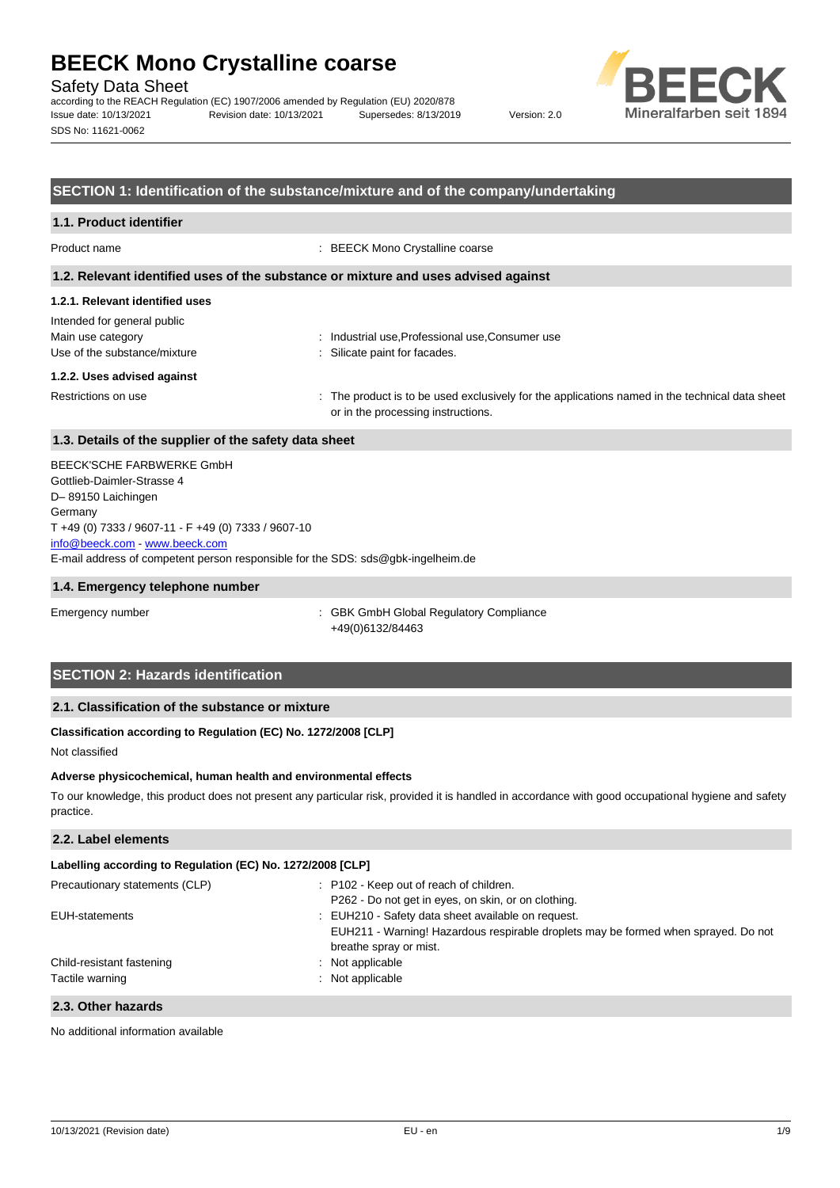Safety Data Sheet

according to the REACH Regulation (EC) 1907/2006 amended by Regulation (EU) 2020/878 Issue date: 10/13/2021 Revision date: 10/13/2021 Supersedes: 8/13/2019 Version: 2.0 SDS No: 11621-0062



### **SECTION 1: Identification of the substance/mixture and of the company/undertaking**

Product name  $\qquad \qquad : \text{BEECK } \text{Mono Crystaline coarse}$ 

#### **1.2. Relevant identified uses of the substance or mixture and uses advised against**

#### **1.2.1. Relevant identified uses**

Intended for general public Main use category **industrial use, Professional use, Consumer use** industrial use, Professional use, Consumer use Use of the substance/mixture in the substance/mixture in the substance in the substance of the substance of the substance of the substance of the substance of the substance of the substance of the substance of the substanc

#### **1.2.2. Uses advised against**

Restrictions on use example of the product is to be used exclusively for the applications named in the technical data sheet or in the processing instructions.

## **1.3. Details of the supplier of the safety data sheet**

E-mail address of competent person responsible for the SDS: sds@gbk-ingelheim.de BEECK'SCHE FARBWERKE GmbH Gottlieb-Daimler-Strasse 4 D– 89150 Laichingen Germany T +49 (0) 7333 / 9607-11 - F +49 (0) 7333 / 9607-10 [info@beeck.com](mailto:info@beeck.com) - [www.beeck.com](http://www.beeck.com/)

### **1.4. Emergency telephone number**

Emergency number : GBK GmbH Global Regulatory Compliance +49(0)6132/84463

## **SECTION 2: Hazards identification**

## **2.1. Classification of the substance or mixture**

## **Classification according to Regulation (EC) No. 1272/2008 [CLP]**

Not classified

### **Adverse physicochemical, human health and environmental effects**

To our knowledge, this product does not present any particular risk, provided it is handled in accordance with good occupational hygiene and safety practice.

## **2.2. Label elements**

## **Labelling according to Regulation (EC) No. 1272/2008 [CLP]**

| Precautionary statements (CLP) | : P102 - Keep out of reach of children.                                                                      |
|--------------------------------|--------------------------------------------------------------------------------------------------------------|
| EUH-statements                 | P262 - Do not get in eyes, on skin, or on clothing.<br>: EUH210 - Safety data sheet available on request.    |
|                                | EUH211 - Warning! Hazardous respirable droplets may be formed when sprayed. Do not<br>breathe spray or mist. |
| Child-resistant fastening      | : Not applicable                                                                                             |
| Tactile warning                | : Not applicable                                                                                             |
| 2.3. Other hazards             |                                                                                                              |

No additional information available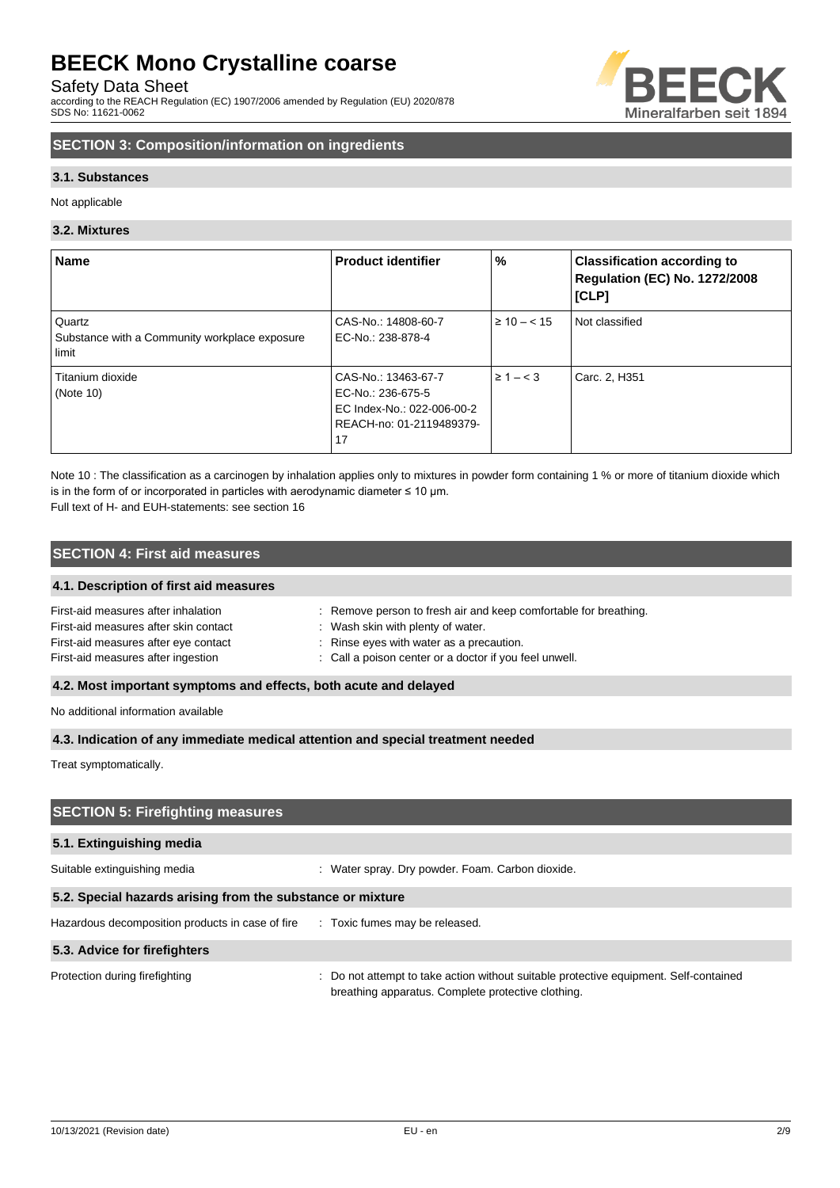Safety Data Sheet

according to the REACH Regulation (EC) 1907/2006 amended by Regulation (EU) 2020/878 SDS No: 11621-0062



## **SECTION 3: Composition/information on ingredients**

## **3.1. Substances**

Not applicable

### **3.2. Mixtures**

| <b>Name</b>                                                      | <b>Product identifier</b>                                                                                | %                | <b>Classification according to</b><br><b>Regulation (EC) No. 1272/2008</b><br>[CLP] |
|------------------------------------------------------------------|----------------------------------------------------------------------------------------------------------|------------------|-------------------------------------------------------------------------------------|
| Quartz<br>Substance with a Community workplace exposure<br>limit | CAS-No.: 14808-60-7<br>EC-No.: 238-878-4                                                                 | $\geq 10 - < 15$ | Not classified                                                                      |
| Titanium dioxide<br>(Note 10)                                    | CAS-No.: 13463-67-7<br>EC-No.: 236-675-5<br>EC Index-No.: 022-006-00-2<br>REACH-no: 01-2119489379-<br>17 | $\geq 1 - < 3$   | Carc. 2, H351                                                                       |

Note 10 : The classification as a carcinogen by inhalation applies only to mixtures in powder form containing 1 % or more of titanium dioxide which is in the form of or incorporated in particles with aerodynamic diameter  $\leq 10$  um. Full text of H- and EUH-statements: see section 16

## **SECTION 4: First aid measures**

### **4.1. Description of first aid measures**

| First-aid measures after inhalation   | : Remove person to fresh air and keep comfortable for breathing. |
|---------------------------------------|------------------------------------------------------------------|
| First-aid measures after skin contact | : Wash skin with plenty of water.                                |
| First-aid measures after eye contact  | : Rinse eyes with water as a precaution.                         |
| First-aid measures after ingestion    | : Call a poison center or a doctor if you feel unwell.           |
|                                       |                                                                  |

## **4.2. Most important symptoms and effects, both acute and delayed**

No additional information available

### **4.3. Indication of any immediate medical attention and special treatment needed**

Treat symptomatically.

# **SECTION 5: Firefighting measures 5.1. Extinguishing media** Suitable extinguishing media : Water spray. Dry powder. Foam. Carbon dioxide. **5.2. Special hazards arising from the substance or mixture** Hazardous decomposition products in case of fire : Toxic fumes may be released. **5.3. Advice for firefighters** Protection during firefighting **interval to a statempt to take action without suitable protective equipment. Self-contained** breathing apparatus. Complete protective clothing.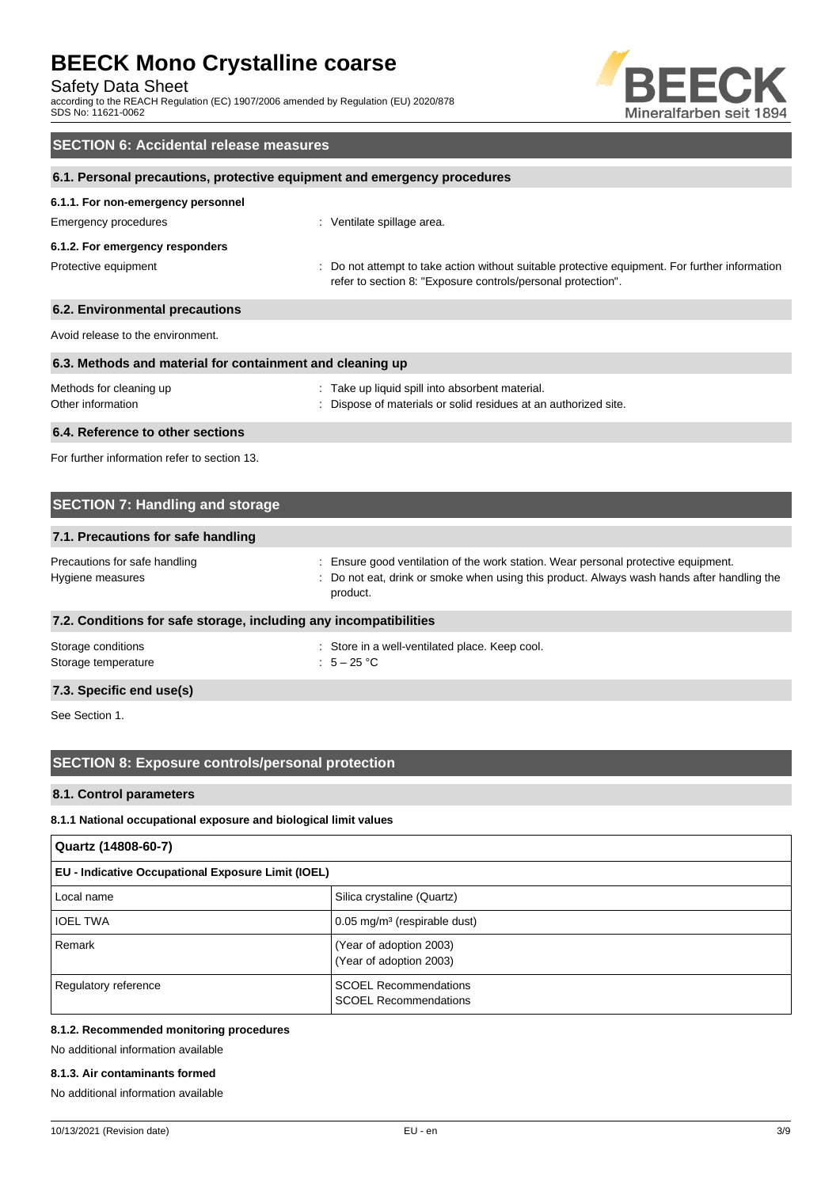Safety Data Sheet

according to the REACH Regulation (EC) 1907/2006 amended by Regulation (EU) 2020/878 SDS No: 11621-0062



# **SECTION 6: Accidental release measures 6.1. Personal precautions, protective equipment and emergency procedures 6.1.1. For non-emergency personnel** Emergency procedures **in the contract of the Contract Contract Contract Contract Contract Contract Contract Contract Contract Contract Contract Contract Contract Contract Contract Contract Contract Contract Contract Contra 6.1.2. For emergency responders** Protective equipment **interval of the suitable** protective equipment. For further information in the suitable protective equipment. For further information refer to section 8: "Exposure controls/personal protection". **6.2. Environmental precautions** Avoid release to the environment. **6.3. Methods and material for containment and cleaning up** Methods for cleaning up **interest in the COV** methods for cleaning up interest in the Take up liquid spill into absorbent material. Other information **intervals and the Contract of Materials** or solid residues at an authorized site. **6.4. Reference to other sections**

For further information refer to section 13.

| <b>SECTION 7: Handling and storage</b>                            |                                                                                                                                                                                              |  |
|-------------------------------------------------------------------|----------------------------------------------------------------------------------------------------------------------------------------------------------------------------------------------|--|
| 7.1. Precautions for safe handling                                |                                                                                                                                                                                              |  |
| Precautions for safe handling<br>Hygiene measures                 | : Ensure good ventilation of the work station. Wear personal protective equipment.<br>: Do not eat, drink or smoke when using this product. Always wash hands after handling the<br>product. |  |
| 7.2. Conditions for safe storage, including any incompatibilities |                                                                                                                                                                                              |  |
| Storage conditions<br>Storage temperature                         | : Store in a well-ventilated place. Keep cool.<br>: $5-25$ °C                                                                                                                                |  |

## **7.3. Specific end use(s)**

See Section 1.

## **SECTION 8: Exposure controls/personal protection**

### **8.1. Control parameters**

### **8.1.1 National occupational exposure and biological limit values**

| Quartz (14808-60-7)                                |                                                              |  |
|----------------------------------------------------|--------------------------------------------------------------|--|
| EU - Indicative Occupational Exposure Limit (IOEL) |                                                              |  |
| Local name                                         | Silica crystaline (Quartz)                                   |  |
| <b>IOEL TWA</b>                                    | $0.05$ mg/m <sup>3</sup> (respirable dust)                   |  |
| Remark                                             | (Year of adoption 2003)<br>(Year of adoption 2003)           |  |
| Regulatory reference                               | <b>SCOEL Recommendations</b><br><b>SCOEL Recommendations</b> |  |

## **8.1.2. Recommended monitoring procedures**

No additional information available

## **8.1.3. Air contaminants formed**

No additional information available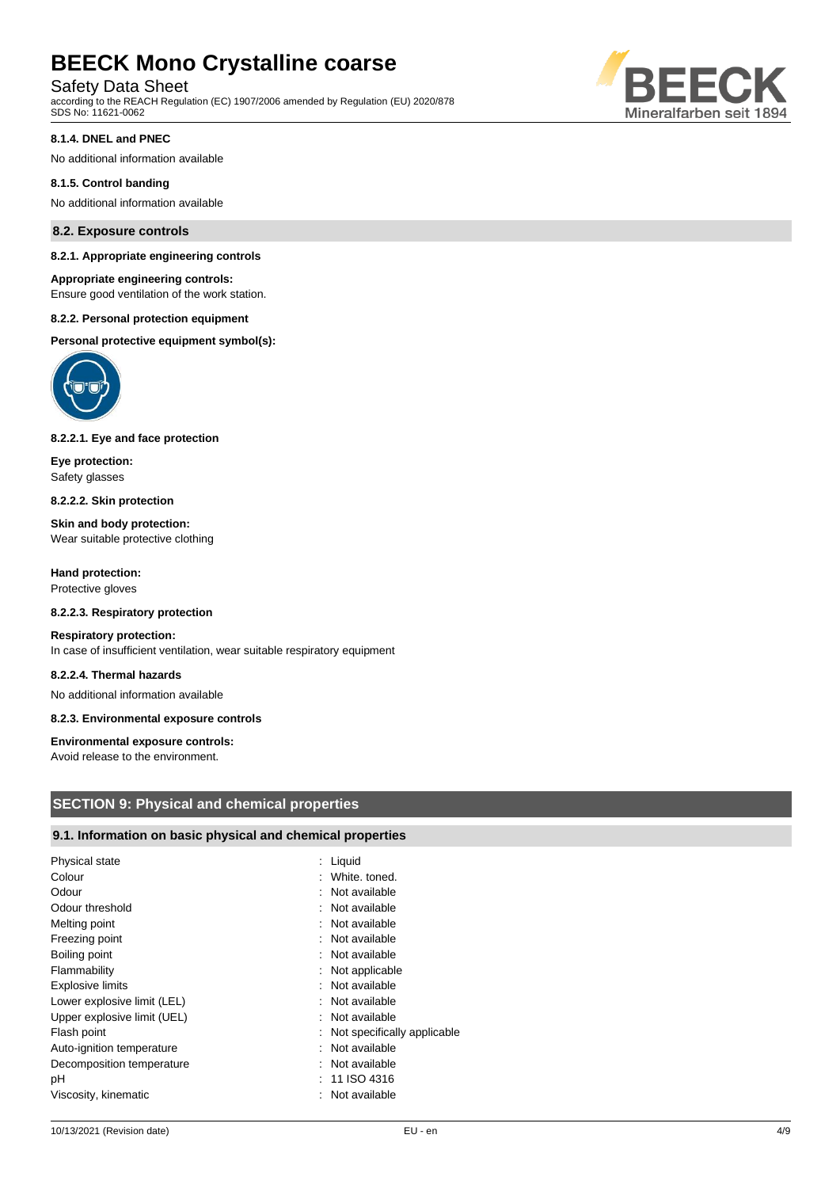Safety Data Sheet

according to the REACH Regulation (EC) 1907/2006 amended by Regulation (EU) 2020/878 SDS No: 11621-0062



#### **8.1.4. DNEL and PNEC**

No additional information available

#### **8.1.5. Control banding**

No additional information available

#### **8.2. Exposure controls**

#### **8.2.1. Appropriate engineering controls**

#### **Appropriate engineering controls:**

Ensure good ventilation of the work station.

#### **8.2.2. Personal protection equipment**

**Personal protective equipment symbol(s):**



### **8.2.2.1. Eye and face protection**

**Eye protection:** Safety glasses

**8.2.2.2. Skin protection**

**Skin and body protection:** Wear suitable protective clothing

**Hand protection:** Protective gloves

#### **8.2.2.3. Respiratory protection**

#### **Respiratory protection:**

In case of insufficient ventilation, wear suitable respiratory equipment

#### **8.2.2.4. Thermal hazards**

No additional information available

## **8.2.3. Environmental exposure controls**

#### **Environmental exposure controls:**

Avoid release to the environment.

### **SECTION 9: Physical and chemical properties**

## **9.1. Information on basic physical and chemical properties**

| Physical state              | : Liquid                      |
|-----------------------------|-------------------------------|
| Colour                      | : White, toned.               |
| Odour                       | : Not available               |
| Odour threshold             | : Not available               |
| Melting point               | : Not available               |
| Freezing point              | : Not available               |
| Boiling point               | : Not available               |
| Flammability                | : Not applicable              |
| <b>Explosive limits</b>     | : Not available               |
| Lower explosive limit (LEL) | : Not available               |
| Upper explosive limit (UEL) | : Not available               |
| Flash point                 | : Not specifically applicable |
| Auto-ignition temperature   | : Not available               |
| Decomposition temperature   | : Not available               |
| рH                          | $: 11$ ISO 4316               |
| Viscosity, kinematic        | : Not available               |
|                             |                               |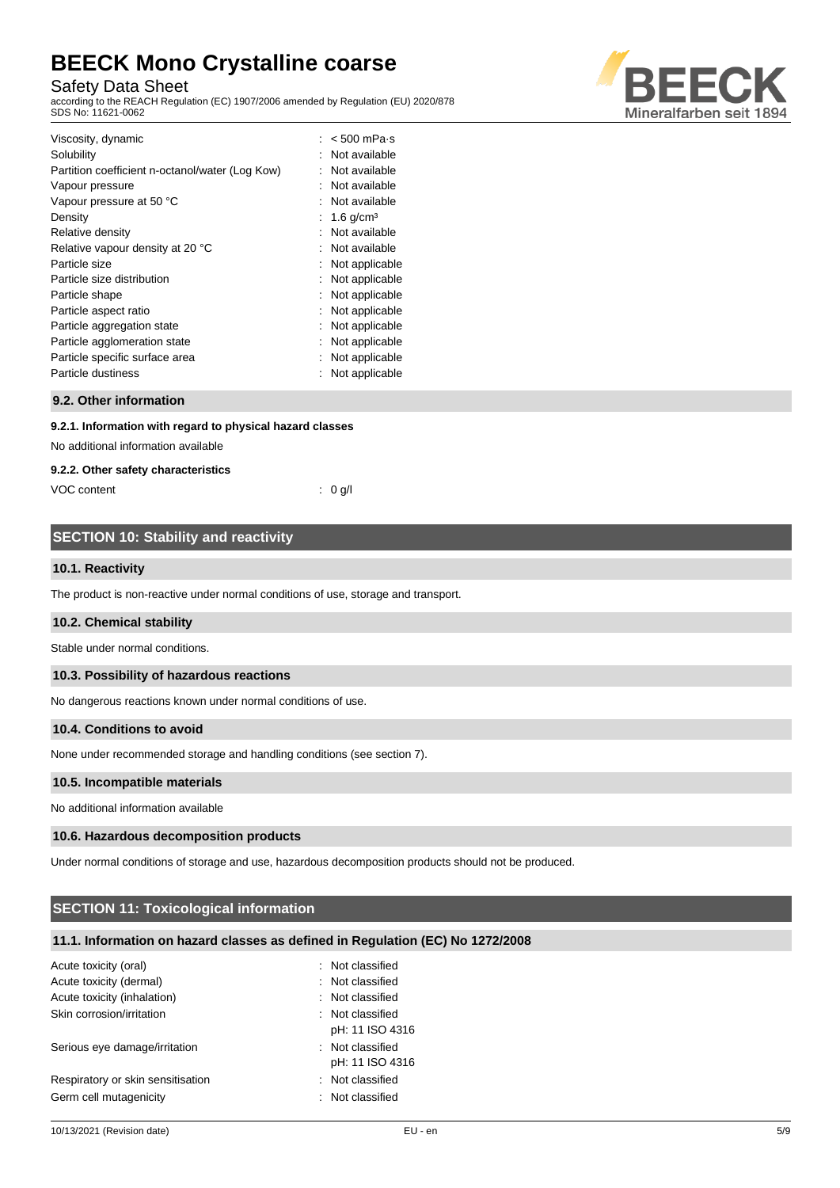Safety Data Sheet

according to the REACH Regulation (EC) 1907/2006 amended by Regulation (EU) 2020/878 SDS No: 11621-0062



| Viscosity, dynamic<br>Solubility<br>Partition coefficient n-octanol/water (Log Kow)<br>Vapour pressure<br>Vapour pressure at 50 °C<br>Density<br>Relative density<br>Relative vapour density at 20 °C<br>Particle size<br>Particle size distribution<br>Particle shape<br>Particle aspect ratio<br>Particle aggregation state<br>Particle agglomeration state<br>Particle specific surface area | $< 500$ mPa $\cdot$ s<br>Not available<br>Not available<br>Not available<br>Not available<br>$1.6$ g/cm <sup>3</sup><br>Not available<br>Not available<br>Not applicable<br>Not applicable<br>Not applicable<br>Not applicable<br>Not applicable<br>Not applicable<br>Not applicable |
|-------------------------------------------------------------------------------------------------------------------------------------------------------------------------------------------------------------------------------------------------------------------------------------------------------------------------------------------------------------------------------------------------|--------------------------------------------------------------------------------------------------------------------------------------------------------------------------------------------------------------------------------------------------------------------------------------|
| Particle dustiness                                                                                                                                                                                                                                                                                                                                                                              | Not applicable                                                                                                                                                                                                                                                                       |

## **9.2. Other information**

#### **9.2.1. Information with regard to physical hazard classes**

No additional information available

#### **9.2.2. Other safety characteristics**

VOC content : 0 g/l

## **SECTION 10: Stability and reactivity**

#### **10.1. Reactivity**

The product is non-reactive under normal conditions of use, storage and transport.

#### **10.2. Chemical stability**

Stable under normal conditions.

#### **10.3. Possibility of hazardous reactions**

No dangerous reactions known under normal conditions of use.

#### **10.4. Conditions to avoid**

None under recommended storage and handling conditions (see section 7).

#### **10.5. Incompatible materials**

No additional information available

#### **10.6. Hazardous decomposition products**

Under normal conditions of storage and use, hazardous decomposition products should not be produced.

## **SECTION 11: Toxicological information**

## **11.1. Information on hazard classes as defined in Regulation (EC) No 1272/2008**

| Acute toxicity (oral)             | $\therefore$ Not classified |
|-----------------------------------|-----------------------------|
| Acute toxicity (dermal)           | : Not classified            |
| Acute toxicity (inhalation)       | : Not classified            |
| Skin corrosion/irritation         | : Not classified            |
|                                   | pH: 11 ISO 4316             |
| Serious eye damage/irritation     | : Not classified            |
|                                   | pH: 11 ISO 4316             |
| Respiratory or skin sensitisation | : Not classified            |
| Germ cell mutagenicity            | : Not classified            |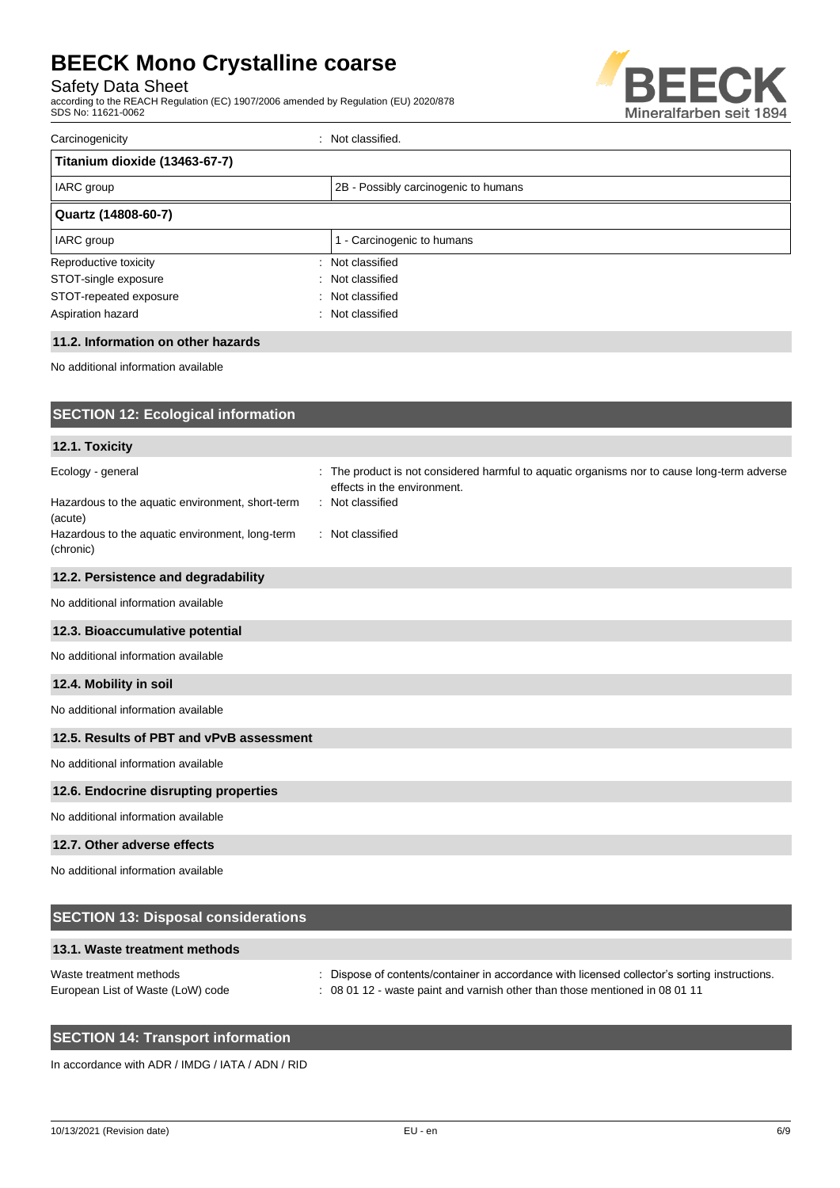Safety Data Sheet

according to the REACH Regulation (EC) 1907/2006 amended by Regulation (EU) 2020/878 SDS No: 11621-0062



| Carcinogenicity               | Not classified.                      |
|-------------------------------|--------------------------------------|
| Titanium dioxide (13463-67-7) |                                      |
| IARC group                    | 2B - Possibly carcinogenic to humans |
| Quartz (14808-60-7)           |                                      |
| IARC group                    | 1 - Carcinogenic to humans           |
| Reproductive toxicity         | : Not classified                     |
| STOT-single exposure<br>х.    | Not classified                       |
| STOT-repeated exposure<br>ж.  | Not classified                       |
| Aspiration hazard             | : Not classified                     |

### **11.2. Information on other hazards**

No additional information available

| <b>SECTION 12: Ecological information</b>                                         |                                                                                                                                                |
|-----------------------------------------------------------------------------------|------------------------------------------------------------------------------------------------------------------------------------------------|
| 12.1. Toxicity                                                                    |                                                                                                                                                |
| Ecology - general<br>Hazardous to the aquatic environment, short-term<br>(acute)  | : The product is not considered harmful to aquatic organisms nor to cause long-term adverse<br>effects in the environment.<br>: Not classified |
| Hazardous to the aquatic environment, long-term<br>(chronic)                      | : Not classified                                                                                                                               |
| 12.2. Persistence and degradability                                               |                                                                                                                                                |
| No additional information available                                               |                                                                                                                                                |
| 12.3. Bioaccumulative potential                                                   |                                                                                                                                                |
| No additional information available                                               |                                                                                                                                                |
| 12.4. Mobility in soil                                                            |                                                                                                                                                |
| No additional information available                                               |                                                                                                                                                |
| 12.5. Results of PBT and vPvB assessment                                          |                                                                                                                                                |
| No additional information available                                               |                                                                                                                                                |
| 12.6. Endocrine disrupting properties                                             |                                                                                                                                                |
| No additional information available                                               |                                                                                                                                                |
| 12.7. Other adverse effects                                                       |                                                                                                                                                |
| No additional information available<br><b>CECTION 42. Diangeal considerations</b> |                                                                                                                                                |

| <b>SECTION 13: Disposal considerations</b>                   |                                                                                                                                                                              |
|--------------------------------------------------------------|------------------------------------------------------------------------------------------------------------------------------------------------------------------------------|
| 13.1. Waste treatment methods                                |                                                                                                                                                                              |
| Waste treatment methods<br>European List of Waste (LoW) code | : Dispose of contents/container in accordance with licensed collector's sorting instructions.<br>: 08 01 12 - waste paint and varnish other than those mentioned in 08 01 11 |

## **SECTION 14: Transport information**

In accordance with ADR / IMDG / IATA / ADN / RID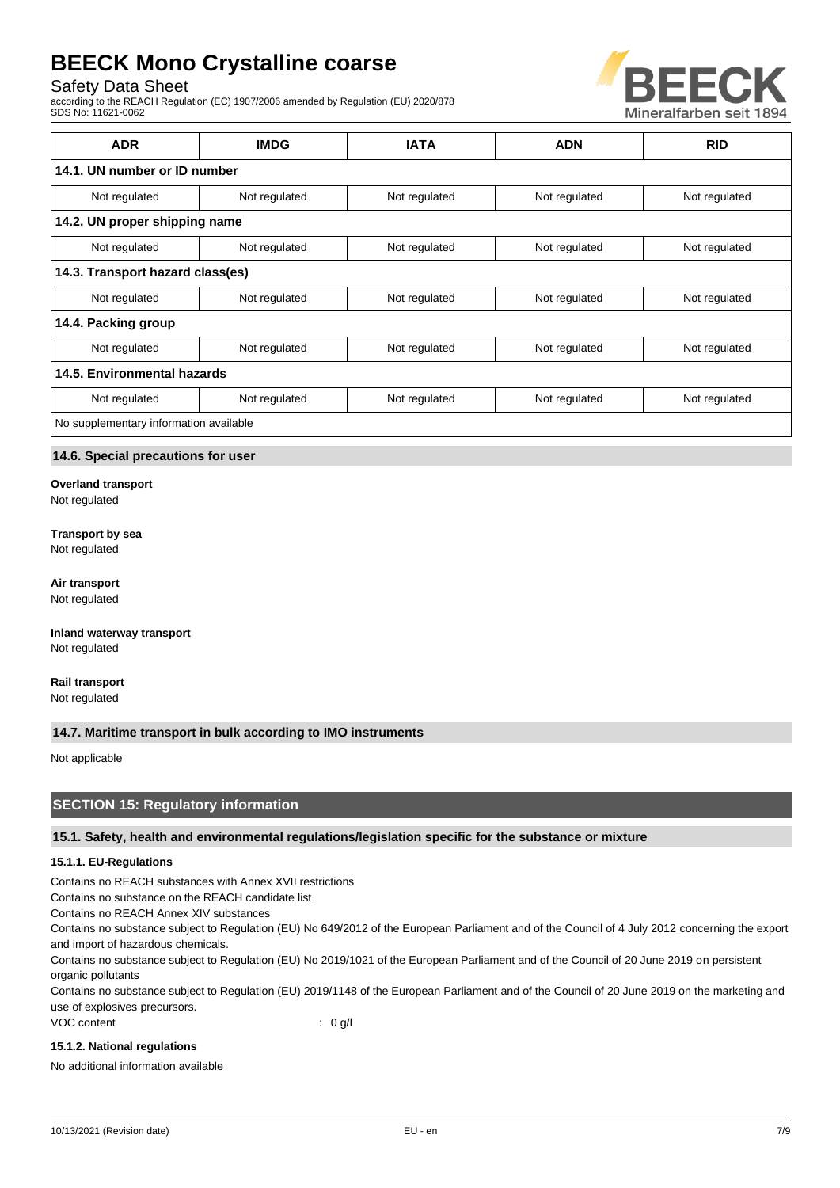## Safety Data Sheet

according to the REACH Regulation (EC) 1907/2006 amended by Regulation (EU) 2020/878 SDS No: 11621-0062



| <b>ADR</b>                             | <b>IMDG</b>   | <b>IATA</b>   | <b>ADN</b>    | <b>RID</b>    |  |
|----------------------------------------|---------------|---------------|---------------|---------------|--|
| 14.1. UN number or ID number           |               |               |               |               |  |
| Not regulated                          | Not regulated | Not regulated | Not regulated | Not regulated |  |
| 14.2. UN proper shipping name          |               |               |               |               |  |
| Not regulated                          | Not regulated | Not regulated | Not regulated | Not regulated |  |
| 14.3. Transport hazard class(es)       |               |               |               |               |  |
| Not regulated                          | Not regulated | Not regulated | Not regulated | Not regulated |  |
| 14.4. Packing group                    |               |               |               |               |  |
| Not regulated                          | Not regulated | Not regulated | Not regulated | Not regulated |  |
| 14.5. Environmental hazards            |               |               |               |               |  |
| Not regulated                          | Not regulated | Not regulated | Not regulated | Not regulated |  |
| No supplementary information available |               |               |               |               |  |

## **14.6. Special precautions for user**

**Overland transport**

Not regulated

#### **Transport by sea**

Not regulated

#### **Air transport**

Not regulated

**Inland waterway transport** Not regulated

**Rail transport** Not regulated

## **14.7. Maritime transport in bulk according to IMO instruments**

Not applicable

## **SECTION 15: Regulatory information**

### **15.1. Safety, health and environmental regulations/legislation specific for the substance or mixture**

#### **15.1.1. EU-Regulations**

Contains no REACH substances with Annex XVII restrictions

Contains no substance on the REACH candidate list

Contains no REACH Annex XIV substances

Contains no substance subject to Regulation (EU) No 649/2012 of the European Parliament and of the Council of 4 July 2012 concerning the export and import of hazardous chemicals.

Contains no substance subject to Regulation (EU) No 2019/1021 of the European Parliament and of the Council of 20 June 2019 on persistent organic pollutants

Contains no substance subject to Regulation (EU) 2019/1148 of the European Parliament and of the Council of 20 June 2019 on the marketing and use of explosives precursors.

VOC content : 0 g/l

### **15.1.2. National regulations**

No additional information available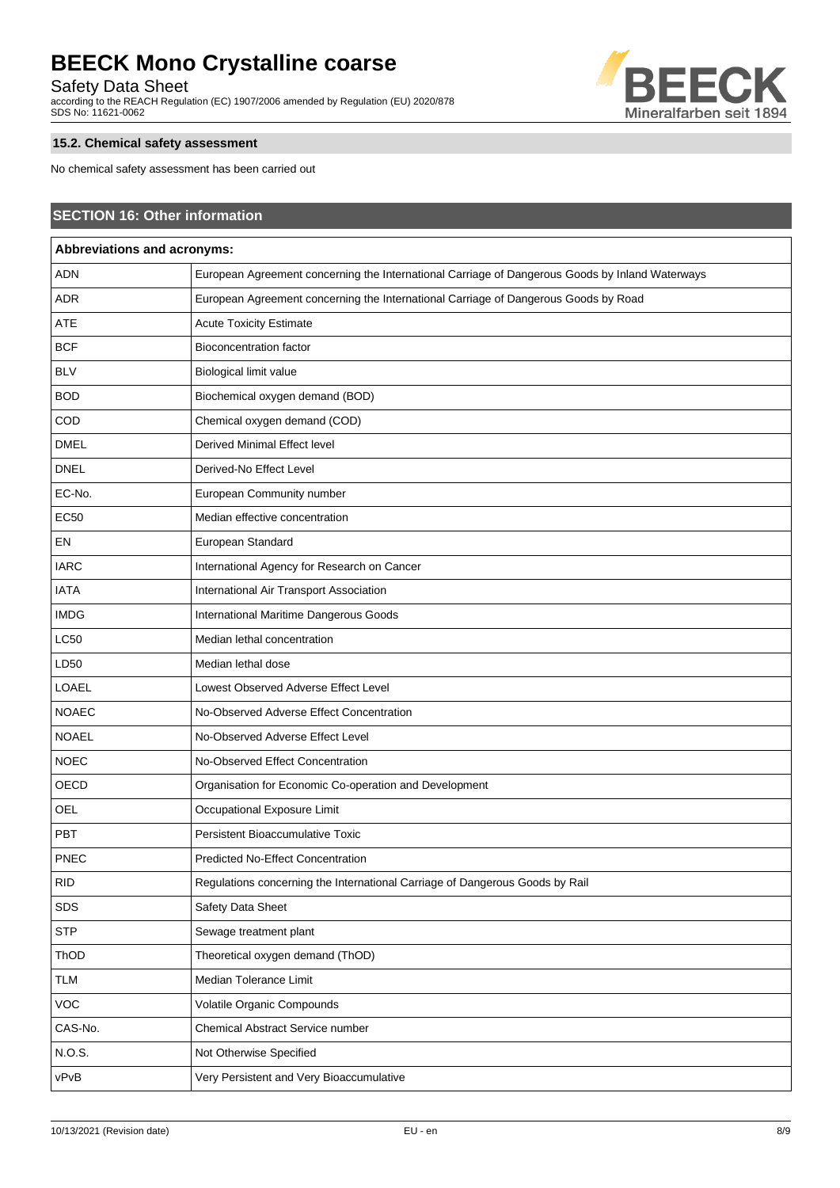Safety Data Sheet

according to the REACH Regulation (EC) 1907/2006 amended by Regulation (EU) 2020/878 SDS No: 11621-0062



## **15.2. Chemical safety assessment**

No chemical safety assessment has been carried out

| <b>SECTION 16: Other information</b><br>Abbreviations and acronyms: |                                                                                     |  |  |  |
|---------------------------------------------------------------------|-------------------------------------------------------------------------------------|--|--|--|
|                                                                     |                                                                                     |  |  |  |
| <b>ADR</b>                                                          | European Agreement concerning the International Carriage of Dangerous Goods by Road |  |  |  |
| <b>ATE</b>                                                          | <b>Acute Toxicity Estimate</b>                                                      |  |  |  |
| <b>BCF</b>                                                          | <b>Bioconcentration factor</b>                                                      |  |  |  |
| <b>BLV</b>                                                          | Biological limit value                                                              |  |  |  |
| <b>BOD</b>                                                          | Biochemical oxygen demand (BOD)                                                     |  |  |  |
| COD                                                                 | Chemical oxygen demand (COD)                                                        |  |  |  |
| <b>DMEL</b>                                                         | Derived Minimal Effect level                                                        |  |  |  |
| <b>DNEL</b>                                                         | Derived-No Effect Level                                                             |  |  |  |
| EC-No.                                                              | European Community number                                                           |  |  |  |
| EC50                                                                | Median effective concentration                                                      |  |  |  |
| EN                                                                  | European Standard                                                                   |  |  |  |
| <b>IARC</b>                                                         | International Agency for Research on Cancer                                         |  |  |  |
| <b>IATA</b>                                                         | International Air Transport Association                                             |  |  |  |
| <b>IMDG</b>                                                         | International Maritime Dangerous Goods                                              |  |  |  |
| <b>LC50</b>                                                         | Median lethal concentration                                                         |  |  |  |
| LD50                                                                | Median lethal dose                                                                  |  |  |  |
| LOAEL                                                               | Lowest Observed Adverse Effect Level                                                |  |  |  |
| <b>NOAEC</b>                                                        | No-Observed Adverse Effect Concentration                                            |  |  |  |
| <b>NOAEL</b>                                                        | No-Observed Adverse Effect Level                                                    |  |  |  |
| <b>NOEC</b>                                                         | No-Observed Effect Concentration                                                    |  |  |  |
| OECD                                                                | Organisation for Economic Co-operation and Development                              |  |  |  |
| OEL                                                                 | Occupational Exposure Limit                                                         |  |  |  |
| PBT                                                                 | Persistent Bioaccumulative Toxic                                                    |  |  |  |
| <b>PNEC</b>                                                         | Predicted No-Effect Concentration                                                   |  |  |  |
| <b>RID</b>                                                          | Regulations concerning the International Carriage of Dangerous Goods by Rail        |  |  |  |
| SDS                                                                 | Safety Data Sheet                                                                   |  |  |  |
| <b>STP</b>                                                          | Sewage treatment plant                                                              |  |  |  |
| ThOD                                                                | Theoretical oxygen demand (ThOD)                                                    |  |  |  |
| <b>TLM</b>                                                          | Median Tolerance Limit                                                              |  |  |  |
| <b>VOC</b>                                                          | Volatile Organic Compounds                                                          |  |  |  |
| CAS-No.                                                             | Chemical Abstract Service number                                                    |  |  |  |
| N.O.S.                                                              | Not Otherwise Specified                                                             |  |  |  |
| vPvB                                                                | Very Persistent and Very Bioaccumulative                                            |  |  |  |